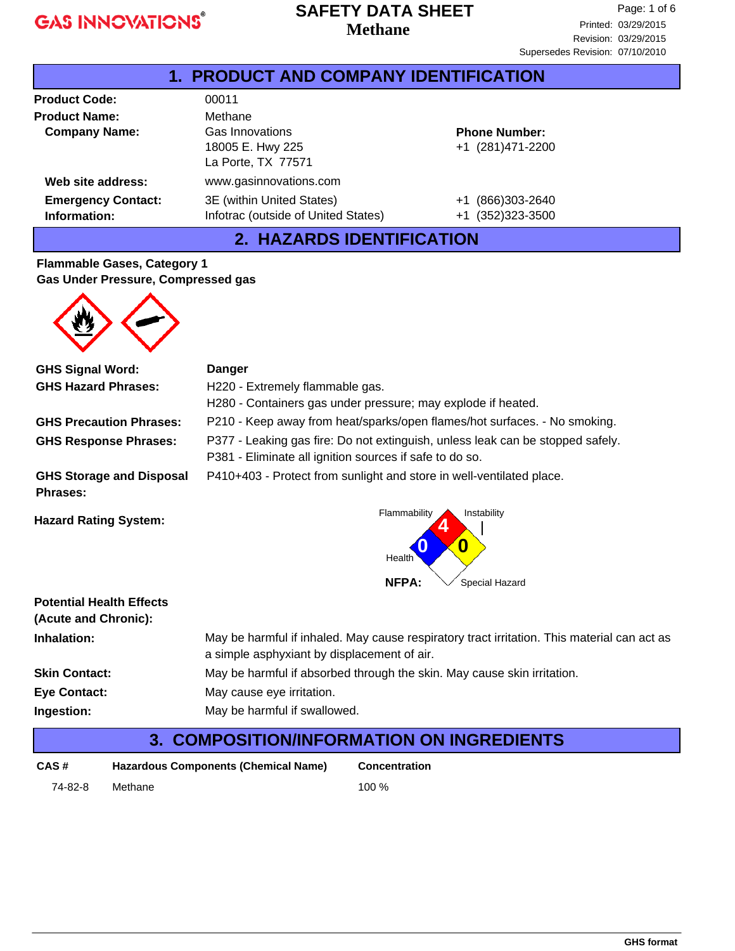### **Methane SAFETY DATA SHEET**

| 1. PRODUCT AND COMPANY IDENTIFICATION     |                                                                  |                                          |  |
|-------------------------------------------|------------------------------------------------------------------|------------------------------------------|--|
| <b>Product Code:</b>                      | 00011                                                            |                                          |  |
| <b>Product Name:</b>                      | Methane                                                          |                                          |  |
| <b>Company Name:</b>                      | Gas Innovations<br>18005 E. Hwy 225<br>La Porte, TX 77571        | <b>Phone Number:</b><br>+1 (281)471-2200 |  |
| Web site address:                         | www.gasinnovations.com                                           |                                          |  |
| <b>Emergency Contact:</b><br>Information: | 3E (within United States)<br>Infotrac (outside of United States) | (866)303-2640<br>+1<br>+1 (352)323-3500  |  |

## **2. HAZARDS IDENTIFICATION**

#### **Flammable Gases, Category 1 Gas Under Pressure, Compressed gas**



| <b>GHS Signal Word:</b>                            | <b>Danger</b>                                                                                                                              |  |  |
|----------------------------------------------------|--------------------------------------------------------------------------------------------------------------------------------------------|--|--|
| <b>GHS Hazard Phrases:</b>                         | H220 - Extremely flammable gas.                                                                                                            |  |  |
|                                                    | H280 - Containers gas under pressure; may explode if heated.                                                                               |  |  |
| <b>GHS Precaution Phrases:</b>                     | P210 - Keep away from heat/sparks/open flames/hot surfaces. - No smoking.                                                                  |  |  |
| <b>GHS Response Phrases:</b>                       | P377 - Leaking gas fire: Do not extinguish, unless leak can be stopped safely.<br>P381 - Eliminate all ignition sources if safe to do so.  |  |  |
| <b>GHS Storage and Disposal</b><br><b>Phrases:</b> | P410+403 - Protect from sunlight and store in well-ventilated place.                                                                       |  |  |
| <b>Hazard Rating System:</b>                       | Flammability<br>Instability<br>0<br>Health                                                                                                 |  |  |
|                                                    | <b>NFPA:</b><br>Special Hazard                                                                                                             |  |  |
| <b>Potential Health Effects</b>                    |                                                                                                                                            |  |  |
| (Acute and Chronic):                               |                                                                                                                                            |  |  |
| Inhalation:                                        | May be harmful if inhaled. May cause respiratory tract irritation. This material can act as<br>a simple asphyxiant by displacement of air. |  |  |
| <b>Skin Contact:</b>                               | May be harmful if absorbed through the skin. May cause skin irritation.                                                                    |  |  |
| <b>Eye Contact:</b>                                | May cause eye irritation.                                                                                                                  |  |  |
| Ingestion:                                         | May be harmful if swallowed.                                                                                                               |  |  |
| 3.                                                 | <b>COMPOSITION/INFORMATION ON INGREDIENTS</b>                                                                                              |  |  |

| CAS #   | Hazardous Components (Chemical Name) | <b>Concentration</b> |
|---------|--------------------------------------|----------------------|
| 74-82-8 | Methane                              | 100 $%$              |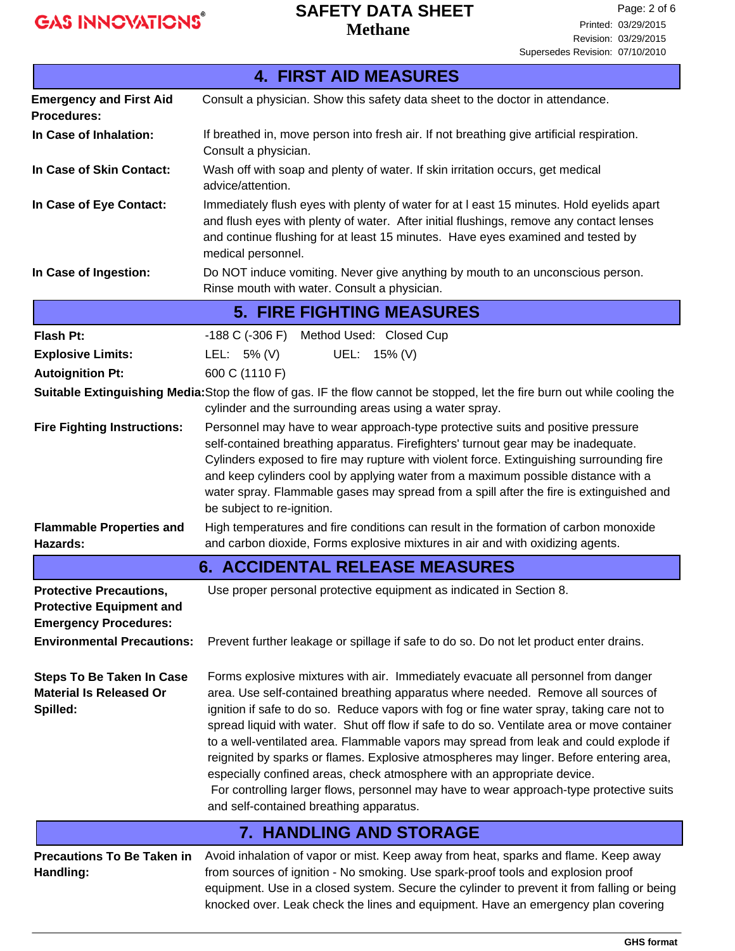# **SAFETY DATA SHEET**

**Methane**

| <b>4. FIRST AID MEASURES</b>                                                                                                           |                                                                                                                                                                                                                                                                                                                                                                                                                                                                                                                                                                                                                                                                                                                                                                      |  |  |
|----------------------------------------------------------------------------------------------------------------------------------------|----------------------------------------------------------------------------------------------------------------------------------------------------------------------------------------------------------------------------------------------------------------------------------------------------------------------------------------------------------------------------------------------------------------------------------------------------------------------------------------------------------------------------------------------------------------------------------------------------------------------------------------------------------------------------------------------------------------------------------------------------------------------|--|--|
| <b>Emergency and First Aid</b><br><b>Procedures:</b>                                                                                   | Consult a physician. Show this safety data sheet to the doctor in attendance.                                                                                                                                                                                                                                                                                                                                                                                                                                                                                                                                                                                                                                                                                        |  |  |
| In Case of Inhalation:                                                                                                                 | If breathed in, move person into fresh air. If not breathing give artificial respiration.<br>Consult a physician.                                                                                                                                                                                                                                                                                                                                                                                                                                                                                                                                                                                                                                                    |  |  |
| In Case of Skin Contact:                                                                                                               | Wash off with soap and plenty of water. If skin irritation occurs, get medical<br>advice/attention.                                                                                                                                                                                                                                                                                                                                                                                                                                                                                                                                                                                                                                                                  |  |  |
| In Case of Eye Contact:                                                                                                                | Immediately flush eyes with plenty of water for at I east 15 minutes. Hold eyelids apart<br>and flush eyes with plenty of water. After initial flushings, remove any contact lenses<br>and continue flushing for at least 15 minutes. Have eyes examined and tested by<br>medical personnel.                                                                                                                                                                                                                                                                                                                                                                                                                                                                         |  |  |
| In Case of Ingestion:                                                                                                                  | Do NOT induce vomiting. Never give anything by mouth to an unconscious person.<br>Rinse mouth with water. Consult a physician.                                                                                                                                                                                                                                                                                                                                                                                                                                                                                                                                                                                                                                       |  |  |
|                                                                                                                                        | <b>5. FIRE FIGHTING MEASURES</b>                                                                                                                                                                                                                                                                                                                                                                                                                                                                                                                                                                                                                                                                                                                                     |  |  |
| Flash Pt:                                                                                                                              | -188 C (-306 F) Method Used: Closed Cup                                                                                                                                                                                                                                                                                                                                                                                                                                                                                                                                                                                                                                                                                                                              |  |  |
| <b>Explosive Limits:</b>                                                                                                               | LEL: 5% (V)<br>UEL: 15% (V)                                                                                                                                                                                                                                                                                                                                                                                                                                                                                                                                                                                                                                                                                                                                          |  |  |
| <b>Autoignition Pt:</b>                                                                                                                | 600 C (1110 F)                                                                                                                                                                                                                                                                                                                                                                                                                                                                                                                                                                                                                                                                                                                                                       |  |  |
|                                                                                                                                        | Suitable Extinguishing Media: Stop the flow of gas. IF the flow cannot be stopped, let the fire burn out while cooling the<br>cylinder and the surrounding areas using a water spray.                                                                                                                                                                                                                                                                                                                                                                                                                                                                                                                                                                                |  |  |
| <b>Fire Fighting Instructions:</b>                                                                                                     | Personnel may have to wear approach-type protective suits and positive pressure<br>self-contained breathing apparatus. Firefighters' turnout gear may be inadequate.<br>Cylinders exposed to fire may rupture with violent force. Extinguishing surrounding fire<br>and keep cylinders cool by applying water from a maximum possible distance with a<br>water spray. Flammable gases may spread from a spill after the fire is extinguished and<br>be subject to re-ignition.                                                                                                                                                                                                                                                                                       |  |  |
| <b>Flammable Properties and</b><br><b>Hazards:</b>                                                                                     | High temperatures and fire conditions can result in the formation of carbon monoxide<br>and carbon dioxide, Forms explosive mixtures in air and with oxidizing agents.                                                                                                                                                                                                                                                                                                                                                                                                                                                                                                                                                                                               |  |  |
|                                                                                                                                        | <b>6. ACCIDENTAL RELEASE MEASURES</b>                                                                                                                                                                                                                                                                                                                                                                                                                                                                                                                                                                                                                                                                                                                                |  |  |
| <b>Protective Precautions,</b><br><b>Protective Equipment and</b><br><b>Emergency Procedures:</b><br><b>Environmental Precautions:</b> | Use proper personal protective equipment as indicated in Section 8.<br>Prevent further leakage or spillage if safe to do so. Do not let product enter drains.                                                                                                                                                                                                                                                                                                                                                                                                                                                                                                                                                                                                        |  |  |
| <b>Steps To Be Taken In Case</b><br><b>Material Is Released Or</b><br>Spilled:                                                         | Forms explosive mixtures with air. Immediately evacuate all personnel from danger<br>area. Use self-contained breathing apparatus where needed. Remove all sources of<br>ignition if safe to do so. Reduce vapors with fog or fine water spray, taking care not to<br>spread liquid with water. Shut off flow if safe to do so. Ventilate area or move container<br>to a well-ventilated area. Flammable vapors may spread from leak and could explode if<br>reignited by sparks or flames. Explosive atmospheres may linger. Before entering area,<br>especially confined areas, check atmosphere with an appropriate device.<br>For controlling larger flows, personnel may have to wear approach-type protective suits<br>and self-contained breathing apparatus. |  |  |
|                                                                                                                                        | <b>7. HANDLING AND STORAGE</b>                                                                                                                                                                                                                                                                                                                                                                                                                                                                                                                                                                                                                                                                                                                                       |  |  |
| <b>Precautions To Be Taken in</b><br>Handling:                                                                                         | Avoid inhalation of vapor or mist. Keep away from heat, sparks and flame. Keep away<br>from sources of ignition - No smoking. Use spark-proof tools and explosion proof<br>equipment. Use in a closed system. Secure the cylinder to prevent it from falling or being<br>knocked over. Leak check the lines and equipment. Have an emergency plan covering                                                                                                                                                                                                                                                                                                                                                                                                           |  |  |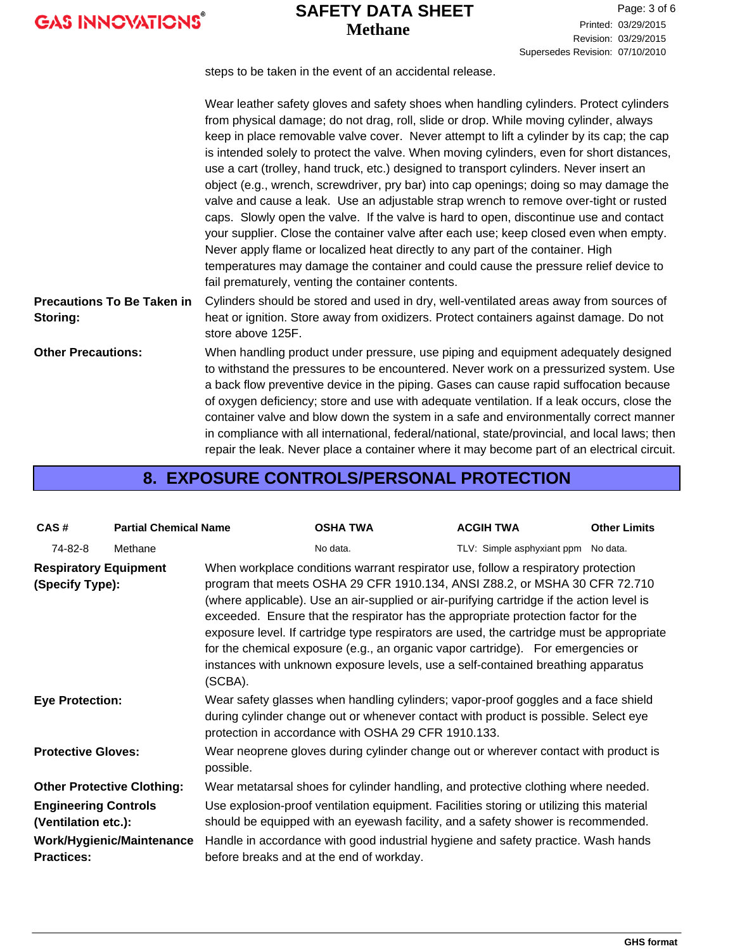## **Methane SAFETY DATA SHEET**

Revision: 03/29/2015 Printed: 03/29/2015 Page: 3 of 6 Supersedes Revision: 07/10/2010

steps to be taken in the event of an accidental release.

|                                               | Wear leather safety gloves and safety shoes when handling cylinders. Protect cylinders<br>from physical damage; do not drag, roll, slide or drop. While moving cylinder, always<br>keep in place removable valve cover. Never attempt to lift a cylinder by its cap; the cap<br>is intended solely to protect the valve. When moving cylinders, even for short distances,<br>use a cart (trolley, hand truck, etc.) designed to transport cylinders. Never insert an<br>object (e.g., wrench, screwdriver, pry bar) into cap openings; doing so may damage the<br>valve and cause a leak. Use an adjustable strap wrench to remove over-tight or rusted<br>caps. Slowly open the valve. If the valve is hard to open, discontinue use and contact<br>your supplier. Close the container valve after each use; keep closed even when empty.<br>Never apply flame or localized heat directly to any part of the container. High<br>temperatures may damage the container and could cause the pressure relief device to<br>fail prematurely, venting the container contents. |
|-----------------------------------------------|---------------------------------------------------------------------------------------------------------------------------------------------------------------------------------------------------------------------------------------------------------------------------------------------------------------------------------------------------------------------------------------------------------------------------------------------------------------------------------------------------------------------------------------------------------------------------------------------------------------------------------------------------------------------------------------------------------------------------------------------------------------------------------------------------------------------------------------------------------------------------------------------------------------------------------------------------------------------------------------------------------------------------------------------------------------------------|
| <b>Precautions To Be Taken in</b><br>Storing: | Cylinders should be stored and used in dry, well-ventilated areas away from sources of<br>heat or ignition. Store away from oxidizers. Protect containers against damage. Do not<br>store above 125F.                                                                                                                                                                                                                                                                                                                                                                                                                                                                                                                                                                                                                                                                                                                                                                                                                                                                     |
| <b>Other Precautions:</b>                     | When handling product under pressure, use piping and equipment adequately designed<br>to withstand the pressures to be encountered. Never work on a pressurized system. Use<br>a back flow preventive device in the piping. Gases can cause rapid suffocation because<br>of oxygen deficiency; store and use with adequate ventilation. If a leak occurs, close the<br>container valve and blow down the system in a safe and environmentally correct manner<br>in compliance with all international, federal/national, state/provincial, and local laws; then<br>repair the leak. Never place a container where it may become part of an electrical circuit.                                                                                                                                                                                                                                                                                                                                                                                                             |

## **8. EXPOSURE CONTROLS/PERSONAL PROTECTION**

| CAS#                                                                    | <b>Partial Chemical Name</b> |                                                                                                                                                                                                                                                                                                                                                                                                                                                                                                                                                                                                                                    | <b>OSHA TWA</b>                                                                                                                                                                                                                                                                                               | <b>ACGIH TWA</b>                    | <b>Other Limits</b> |  |
|-------------------------------------------------------------------------|------------------------------|------------------------------------------------------------------------------------------------------------------------------------------------------------------------------------------------------------------------------------------------------------------------------------------------------------------------------------------------------------------------------------------------------------------------------------------------------------------------------------------------------------------------------------------------------------------------------------------------------------------------------------|---------------------------------------------------------------------------------------------------------------------------------------------------------------------------------------------------------------------------------------------------------------------------------------------------------------|-------------------------------------|---------------------|--|
| 74-82-8                                                                 | Methane                      |                                                                                                                                                                                                                                                                                                                                                                                                                                                                                                                                                                                                                                    | No data.                                                                                                                                                                                                                                                                                                      | TLV: Simple asphyxiant ppm No data. |                     |  |
| <b>Respiratory Equipment</b><br>(Specify Type):                         |                              | When workplace conditions warrant respirator use, follow a respiratory protection<br>program that meets OSHA 29 CFR 1910.134, ANSI Z88.2, or MSHA 30 CFR 72.710<br>(where applicable). Use an air-supplied or air-purifying cartridge if the action level is<br>exceeded. Ensure that the respirator has the appropriate protection factor for the<br>exposure level. If cartridge type respirators are used, the cartridge must be appropriate<br>for the chemical exposure (e.g., an organic vapor cartridge). For emergencies or<br>instances with unknown exposure levels, use a self-contained breathing apparatus<br>(SCBA). |                                                                                                                                                                                                                                                                                                               |                                     |                     |  |
| <b>Eye Protection:</b>                                                  |                              | Wear safety glasses when handling cylinders; vapor-proof goggles and a face shield<br>during cylinder change out or whenever contact with product is possible. Select eye<br>protection in accordance with OSHA 29 CFR 1910.133.                                                                                                                                                                                                                                                                                                                                                                                                   |                                                                                                                                                                                                                                                                                                               |                                     |                     |  |
| <b>Protective Gloves:</b><br>possible.                                  |                              | Wear neoprene gloves during cylinder change out or wherever contact with product is                                                                                                                                                                                                                                                                                                                                                                                                                                                                                                                                                |                                                                                                                                                                                                                                                                                                               |                                     |                     |  |
| <b>Other Protective Clothing:</b>                                       |                              |                                                                                                                                                                                                                                                                                                                                                                                                                                                                                                                                                                                                                                    | Wear metatarsal shoes for cylinder handling, and protective clothing where needed.                                                                                                                                                                                                                            |                                     |                     |  |
| <b>Engineering Controls</b><br>(Ventilation etc.):<br><b>Practices:</b> | Work/Hygienic/Maintenance    |                                                                                                                                                                                                                                                                                                                                                                                                                                                                                                                                                                                                                                    | Use explosion-proof ventilation equipment. Facilities storing or utilizing this material<br>should be equipped with an eyewash facility, and a safety shower is recommended.<br>Handle in accordance with good industrial hygiene and safety practice. Wash hands<br>before breaks and at the end of workday. |                                     |                     |  |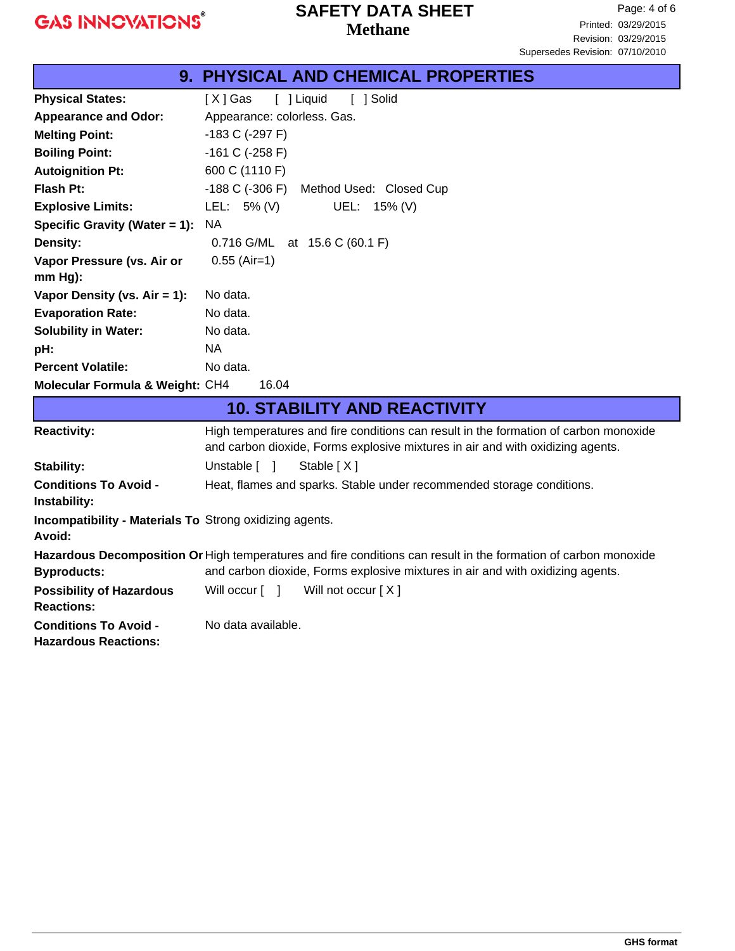## **Methane SAFETY DATA SHEET**

|                                         | 9. PHYSICAL AND CHEMICAL PROPERTIES     |  |  |
|-----------------------------------------|-----------------------------------------|--|--|
| <b>Physical States:</b>                 | [ ] Liquid<br>[ ] Solid<br>[ X ] Gas    |  |  |
| <b>Appearance and Odor:</b>             | Appearance: colorless. Gas.             |  |  |
| <b>Melting Point:</b>                   | -183 C (-297 F)                         |  |  |
| <b>Boiling Point:</b>                   | $-161$ C ( $-258$ F)                    |  |  |
| <b>Autoignition Pt:</b>                 | 600 C (1110 F)                          |  |  |
| <b>Flash Pt:</b>                        | -188 C (-306 F) Method Used: Closed Cup |  |  |
| <b>Explosive Limits:</b>                | LEL: 5% (V)<br>UEL: 15% (V)             |  |  |
| Specific Gravity (Water = 1):           | NA.                                     |  |  |
| <b>Density:</b>                         | 0.716 G/ML at 15.6 C (60.1 F)           |  |  |
| Vapor Pressure (vs. Air or<br>$mm Hg$ : | $0.55$ (Air=1)                          |  |  |
| Vapor Density (vs. $Air = 1$ ):         | No data.                                |  |  |
| <b>Evaporation Rate:</b>                | No data.                                |  |  |
| <b>Solubility in Water:</b>             | No data.                                |  |  |
| pH:                                     | NA.                                     |  |  |
| <b>Percent Volatile:</b>                | No data.                                |  |  |
| Molecular Formula & Weight: CH4         | 16.04                                   |  |  |

| <b>10. STABILITY AND REACTIVITY</b>                                                                             |                                                                                                                                                                        |  |  |
|-----------------------------------------------------------------------------------------------------------------|------------------------------------------------------------------------------------------------------------------------------------------------------------------------|--|--|
| <b>Reactivity:</b>                                                                                              | High temperatures and fire conditions can result in the formation of carbon monoxide<br>and carbon dioxide, Forms explosive mixtures in air and with oxidizing agents. |  |  |
| <b>Stability:</b>                                                                                               | Unstable [ ]<br>Stable $[X]$                                                                                                                                           |  |  |
| <b>Conditions To Avoid -</b><br>Instability:                                                                    | Heat, flames and sparks. Stable under recommended storage conditions.                                                                                                  |  |  |
| <b>Incompatibility - Materials To Strong oxidizing agents.</b><br>Avoid:                                        |                                                                                                                                                                        |  |  |
| Hazardous Decomposition Or High temperatures and fire conditions can result in the formation of carbon monoxide |                                                                                                                                                                        |  |  |
| <b>Byproducts:</b>                                                                                              | and carbon dioxide, Forms explosive mixtures in air and with oxidizing agents.                                                                                         |  |  |
| <b>Possibility of Hazardous</b><br><b>Reactions:</b>                                                            | Will not occur $[X]$<br>Will occur [ ]                                                                                                                                 |  |  |
| <b>Conditions To Avoid -</b><br><b>Hazardous Reactions:</b>                                                     | No data available.                                                                                                                                                     |  |  |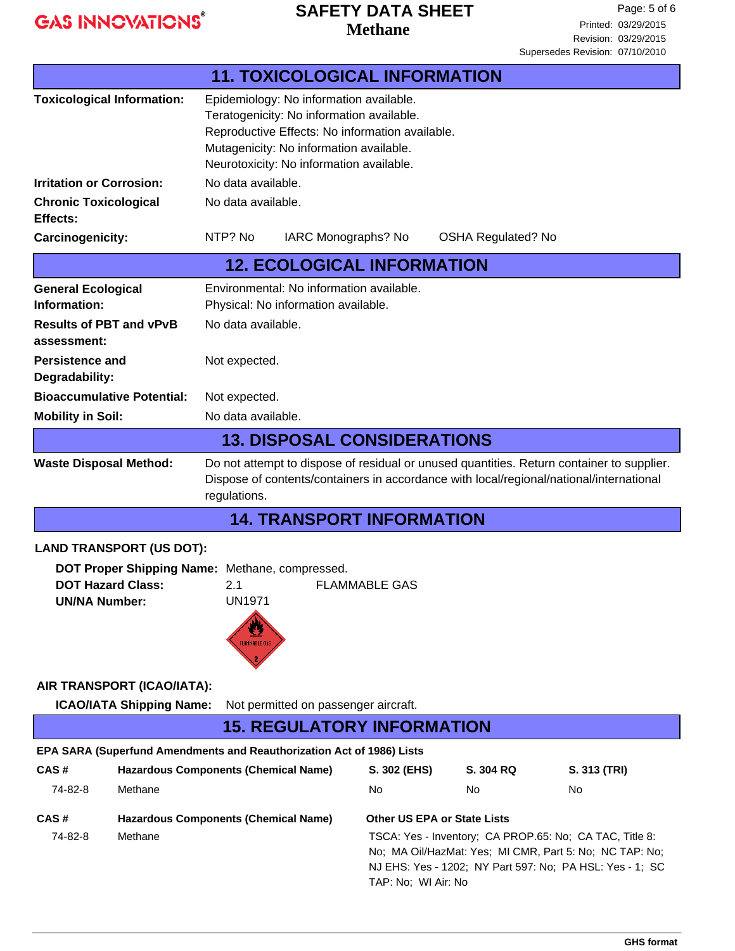## **Methane SAFETY DATA SHEET**

|                                                                                                                                                                                                                                       | <b>11. TOXICOLOGICAL INFORMATION</b>                                                                                                                                                                                           |                     |                                                         |                                                                                                                     |  |
|---------------------------------------------------------------------------------------------------------------------------------------------------------------------------------------------------------------------------------------|--------------------------------------------------------------------------------------------------------------------------------------------------------------------------------------------------------------------------------|---------------------|---------------------------------------------------------|---------------------------------------------------------------------------------------------------------------------|--|
| <b>Toxicological Information:</b>                                                                                                                                                                                                     | Epidemiology: No information available.<br>Teratogenicity: No information available.<br>Reproductive Effects: No information available.<br>Mutagenicity: No information available.<br>Neurotoxicity: No information available. |                     |                                                         |                                                                                                                     |  |
| <b>Irritation or Corrosion:</b>                                                                                                                                                                                                       | No data available.                                                                                                                                                                                                             |                     |                                                         |                                                                                                                     |  |
| <b>Chronic Toxicological</b><br>Effects:                                                                                                                                                                                              | No data available.                                                                                                                                                                                                             |                     |                                                         |                                                                                                                     |  |
| Carcinogenicity:                                                                                                                                                                                                                      | NTP? No                                                                                                                                                                                                                        | IARC Monographs? No | <b>OSHA Regulated? No</b>                               |                                                                                                                     |  |
|                                                                                                                                                                                                                                       | <b>12. ECOLOGICAL INFORMATION</b>                                                                                                                                                                                              |                     |                                                         |                                                                                                                     |  |
| <b>General Ecological</b><br>Information:                                                                                                                                                                                             | Environmental: No information available.<br>Physical: No information available.                                                                                                                                                |                     |                                                         |                                                                                                                     |  |
| <b>Results of PBT and vPvB</b><br>assessment:                                                                                                                                                                                         | No data available.                                                                                                                                                                                                             |                     |                                                         |                                                                                                                     |  |
| <b>Persistence and</b><br>Degradability:                                                                                                                                                                                              | Not expected.                                                                                                                                                                                                                  |                     |                                                         |                                                                                                                     |  |
| <b>Bioaccumulative Potential:</b>                                                                                                                                                                                                     | Not expected.                                                                                                                                                                                                                  |                     |                                                         |                                                                                                                     |  |
| <b>Mobility in Soil:</b>                                                                                                                                                                                                              | No data available.                                                                                                                                                                                                             |                     |                                                         |                                                                                                                     |  |
|                                                                                                                                                                                                                                       | <b>13. DISPOSAL CONSIDERATIONS</b>                                                                                                                                                                                             |                     |                                                         |                                                                                                                     |  |
| Do not attempt to dispose of residual or unused quantities. Return container to supplier.<br><b>Waste Disposal Method:</b><br>Dispose of contents/containers in accordance with local/regional/national/international<br>regulations. |                                                                                                                                                                                                                                |                     |                                                         |                                                                                                                     |  |
|                                                                                                                                                                                                                                       | <b>14. TRANSPORT INFORMATION</b>                                                                                                                                                                                               |                     |                                                         |                                                                                                                     |  |
| <b>LAND TRANSPORT (US DOT):</b>                                                                                                                                                                                                       |                                                                                                                                                                                                                                |                     |                                                         |                                                                                                                     |  |
| DOT Proper Shipping Name: Methane, compressed.<br><b>DOT Hazard Class:</b><br><b>FLAMMABLE GAS</b><br>2.1<br><b>UN/NA Number:</b><br><b>UN1971</b><br>FLAMMABLE GAS                                                                   |                                                                                                                                                                                                                                |                     |                                                         |                                                                                                                     |  |
| AIR TRANSPORT (ICAO/IATA):                                                                                                                                                                                                            |                                                                                                                                                                                                                                |                     |                                                         |                                                                                                                     |  |
| <b>ICAO/IATA Shipping Name:</b>                                                                                                                                                                                                       | Not permitted on passenger aircraft.                                                                                                                                                                                           |                     |                                                         |                                                                                                                     |  |
| <b>15. REGULATORY INFORMATION</b>                                                                                                                                                                                                     |                                                                                                                                                                                                                                |                     |                                                         |                                                                                                                     |  |
| EPA SARA (Superfund Amendments and Reauthorization Act of 1986) Lists                                                                                                                                                                 |                                                                                                                                                                                                                                |                     |                                                         |                                                                                                                     |  |
| CAS#                                                                                                                                                                                                                                  | <b>Hazardous Components (Chemical Name)</b>                                                                                                                                                                                    | S. 302 (EHS)        | S. 304 RQ                                               | S. 313 (TRI)                                                                                                        |  |
| 74-82-8<br>Methane                                                                                                                                                                                                                    |                                                                                                                                                                                                                                | No                  | No                                                      | No                                                                                                                  |  |
| CAS#                                                                                                                                                                                                                                  | <b>Hazardous Components (Chemical Name)</b>                                                                                                                                                                                    |                     | <b>Other US EPA or State Lists</b>                      |                                                                                                                     |  |
| 74-82-8<br>Methane                                                                                                                                                                                                                    |                                                                                                                                                                                                                                | TAP: No; WI Air: No | TSCA: Yes - Inventory; CA PROP.65: No; CA TAC, Title 8: | No; MA Oil/HazMat: Yes; MI CMR, Part 5: No; NC TAP: No;<br>NJ EHS: Yes - 1202; NY Part 597: No; PA HSL: Yes - 1; SC |  |